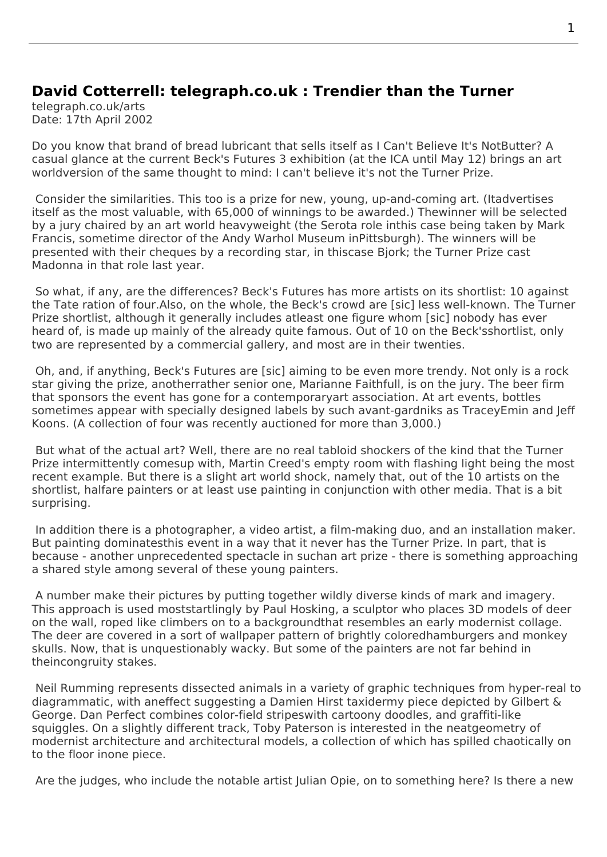## **David Cotterrell: telegraph.co.uk : Trendier than the Turner**

telegraph.co.uk/arts Date: 17th April 2002

Do you know that brand of bread lubricant that sells itself as I Can't Believe It's NotButter? A casual glance at the current Beck's Futures 3 exhibition (at the ICA until May 12) brings an art worldversion of the same thought to mind: I can't believe it's not the Turner Prize.

 Consider the similarities. This too is a prize for new, young, up-and-coming art. (Itadvertises itself as the most valuable, [with 65,000 of winnings to b](http://www.cotterrell.com/exhibitions/3035/becks-futures-2002-london/)e awarded.) Thewinner will be selected by a jury chaired by an art world heavyweight (the Serota role inthis case being taken by Mark Francis, sometime director of the Andy Warhol Museum inPittsburgh). The winners will be presented with their cheques by a recording star, in thiscase Bjork; the Turner Prize cast Madonna in that role last year.

 So what, if any, are the differences? Beck's Futures has more artists on its shortlist: 10 against the Tate ration of four.Also, on the whole, the Beck's crowd are [sic] less well-known. The Turner Prize shortlist, although it generally includes atleast one figure whom [sic] nobody has ever heard of, is made up mainly of the already quite famous. Out of 10 on the Beck'sshortlist, only two are represented by a commercial gallery, and most are in their twenties.

 Oh, and, if anything, Beck's Futures are [sic] aiming to be even more trendy. Not only is a rock star giving the prize, anotherrather senior one, Marianne Faithfull, is on the jury. The beer firm that sponsors the event has gone for a contemporaryart association. At art events, bottles sometimes appear with specially designed labels by such avant-gardniks as TraceyEmin and Jeff Koons. (A collection of four was recently auctioned for more than 3,000.)

 But what of the actual art? Well, there are no real tabloid shockers of the kind that the Turner Prize intermittently comesup with, Martin Creed's empty room with flashing light being the most recent example. But there is a slight art world shock, namely that, out of the 10 artists on the shortlist, halfare painters or at least use painting in conjunction with other media. That is a bit surprising.

 In addition there is a photographer, a video artist, a film-making duo, and an installation maker. But painting dominatesthis event in a way that it never has the Turner Prize. In part, that is because - another unprecedented spectacle in suchan art prize - there is something approaching a shared style among several of these young painters.

 A number make their pictures by putting together wildly diverse kinds of mark and imagery. This approach is used moststartlingly by Paul Hosking, a sculptor who places 3D models of deer on the wall, roped like climbers on to a backgroundthat resembles an early modernist collage. The deer are covered in a sort of wallpaper pattern of brightly coloredhamburgers and monkey skulls. Now, that is unquestionably wacky. But some of the painters are not far behind in theincongruity stakes.

 Neil Rumming represents dissected animals in a variety of graphic techniques from hyper-real to diagrammatic, with aneffect suggesting a Damien Hirst taxidermy piece depicted by Gilbert & George. Dan Perfect combines color-field stripeswith cartoony doodles, and graffiti-like squiggles. On a slightly different track, Toby Paterson is interested in the neatgeometry of modernist architecture and architectural models, a collection of which has spilled chaotically on to the floor inone piece.

Are the judges, who include the notable artist Julian Opie, on to something here? Is there a new